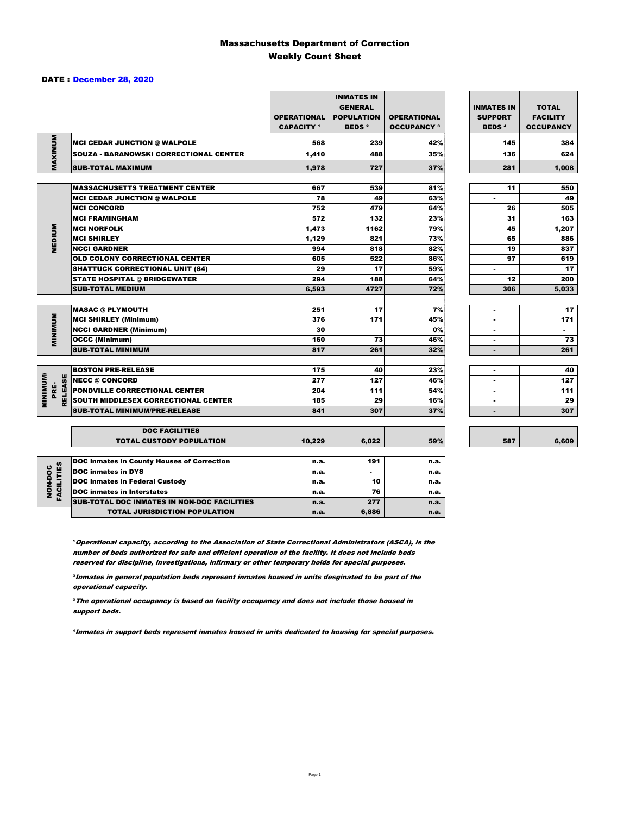### Massachusetts Department of Correction Weekly Count Sheet

#### DATE : December 28, 2020

|                                           |                                                   | <b>OPERATIONAL</b><br><b>CAPACITY</b> 1 | <b>INMATES IN</b><br><b>GENERAL</b><br><b>POPULATION</b><br><b>BEDS<sup>2</sup></b> | <b>OPERATIONAL</b><br><b>OCCUPANCY 3</b> | <b>INMATES IN</b><br><b>SUPPORT</b><br><b>BEDS<sup>4</sup></b> | <b>TOTAL</b><br><b>FACILITY</b><br><b>OCCUPANCY</b> |
|-------------------------------------------|---------------------------------------------------|-----------------------------------------|-------------------------------------------------------------------------------------|------------------------------------------|----------------------------------------------------------------|-----------------------------------------------------|
|                                           | <b>MCI CEDAR JUNCTION @ WALPOLE</b>               | 568                                     | 239                                                                                 | 42%                                      | 145                                                            | 384                                                 |
|                                           | <b>SOUZA - BARANOWSKI CORRECTIONAL CENTER</b>     | 1,410                                   | 488                                                                                 | 35%                                      | 136                                                            | 624                                                 |
| MAXIMUM                                   | <b>SUB-TOTAL MAXIMUM</b>                          | 1,978                                   | 727                                                                                 | 37%                                      | 281                                                            | 1.008                                               |
|                                           |                                                   |                                         |                                                                                     |                                          |                                                                |                                                     |
|                                           | <b>MASSACHUSETTS TREATMENT CENTER</b>             | 667                                     | 539                                                                                 | 81%                                      | 11                                                             | 550                                                 |
|                                           | <b>MCI CEDAR JUNCTION @ WALPOLE</b>               | 78                                      | 49                                                                                  | 63%                                      | ٠                                                              | 49                                                  |
|                                           | <b>MCI CONCORD</b>                                | 752                                     | 479                                                                                 | 64%                                      | 26                                                             | 505                                                 |
|                                           | <b>MCI FRAMINGHAM</b>                             | 572                                     | 132                                                                                 | 23%                                      | 31                                                             | 163                                                 |
|                                           | <b>MCI NORFOLK</b>                                | 1,473                                   | 1162                                                                                | 79%                                      | 45                                                             | 1,207                                               |
| <b>MEDIUM</b>                             | <b>MCI SHIRLEY</b>                                | 1,129                                   | 821                                                                                 | 73%                                      | 65                                                             | 886                                                 |
|                                           | <b>NCCI GARDNER</b>                               | 994                                     | 818                                                                                 | 82%                                      | 19                                                             | 837                                                 |
|                                           | OLD COLONY CORRECTIONAL CENTER                    | 605                                     | 522                                                                                 | 86%                                      | 97                                                             | 619                                                 |
|                                           | <b>SHATTUCK CORRECTIONAL UNIT (S4)</b>            | 29                                      | 17                                                                                  | 59%                                      | ٠                                                              | 17                                                  |
|                                           | <b>STATE HOSPITAL @ BRIDGEWATER</b>               | 294                                     | 188                                                                                 | 64%                                      | 12                                                             | 200                                                 |
|                                           | <b>SUB-TOTAL MEDIUM</b>                           | 6,593                                   | 4727                                                                                | 72%                                      | 306                                                            | 5,033                                               |
|                                           | <b>MASAC @ PLYMOUTH</b>                           | 251                                     | 17                                                                                  | 7%                                       | ٠                                                              | 17                                                  |
|                                           | <b>MCI SHIRLEY (Minimum)</b>                      | 376                                     | 171                                                                                 | 45%                                      |                                                                | 171                                                 |
| <b>MINIMUM</b>                            | <b>NCCI GARDNER (Minimum)</b>                     | 30                                      |                                                                                     | 0%                                       | ٠                                                              | $\sim$                                              |
|                                           | <b>OCCC (Minimum)</b>                             | 160                                     | 73                                                                                  | 46%                                      | ۰                                                              | 73                                                  |
|                                           | <b>SUB-TOTAL MINIMUM</b>                          | 817                                     | 261                                                                                 | 32%                                      | $\blacksquare$                                                 | 261                                                 |
|                                           |                                                   |                                         |                                                                                     |                                          |                                                                |                                                     |
|                                           | <b>BOSTON PRE-RELEASE</b>                         | 175                                     | 40                                                                                  | 23%                                      | $\blacksquare$                                                 | 40                                                  |
|                                           | <b>NECC @ CONCORD</b>                             | 277                                     | 127                                                                                 | 46%                                      | ٠                                                              | 127                                                 |
| <b>MINIMIMU</b><br><b>RELEASE</b><br>PRE- | PONDVILLE CORRECTIONAL CENTER                     | 204                                     | 111                                                                                 | 54%                                      |                                                                | 111                                                 |
|                                           | SOUTH MIDDLESEX CORRECTIONAL CENTER               | 185                                     | 29                                                                                  | 16%                                      | $\blacksquare$                                                 | 29                                                  |
|                                           | <b>SUB-TOTAL MINIMUM/PRE-RELEASE</b>              | 841                                     | 307                                                                                 | 37%                                      | ٠                                                              | 307                                                 |
|                                           | <b>DOC FACILITIES</b>                             |                                         |                                                                                     |                                          |                                                                |                                                     |
|                                           | <b>TOTAL CUSTODY POPULATION</b>                   | 10,229                                  | 6.022                                                                               | 59%                                      | 587                                                            | 6,609                                               |
|                                           | <b>DOC inmates in County Houses of Correction</b> | n.a.                                    | 191                                                                                 | n.a.                                     |                                                                |                                                     |
| <b>FACILITIES</b>                         | <b>DOC</b> inmates in DYS                         | n.a.                                    | $\blacksquare$                                                                      | n.a.                                     |                                                                |                                                     |
|                                           | <b>DOC inmates in Federal Custody</b>             | n.a.                                    | 10                                                                                  | n.a.                                     |                                                                |                                                     |
| NON-DOC                                   | <b>DOC</b> inmates in Interstates                 | n.a.                                    | 76                                                                                  | n.a.                                     |                                                                |                                                     |
|                                           | CUB TOTAL BOO INIMETED IN NON-BOO FAOILITIED      |                                         | $- - -$                                                                             |                                          |                                                                |                                                     |

**Operational capacity, according to the Association of State Correctional Administrators (ASCA), is the** number of beds authorized for safe and efficient operation of the facility. It does not include beds reserved for discipline, investigations, infirmary or other temporary holds for special purposes.

SUB-TOTAL DOC INMATES IN NON-DOC FACILITIES n.a. 277 n.a.

TOTAL JURISDICTION POPULATION **n.a.** 6,886 n.a.

²Inmates in general population beds represent inmates housed in units desginated to be part of the operational capacity.

³The operational occupancy is based on facility occupancy and does not include those housed in support beds.

⁴Inmates in support beds represent inmates housed in units dedicated to housing for special purposes.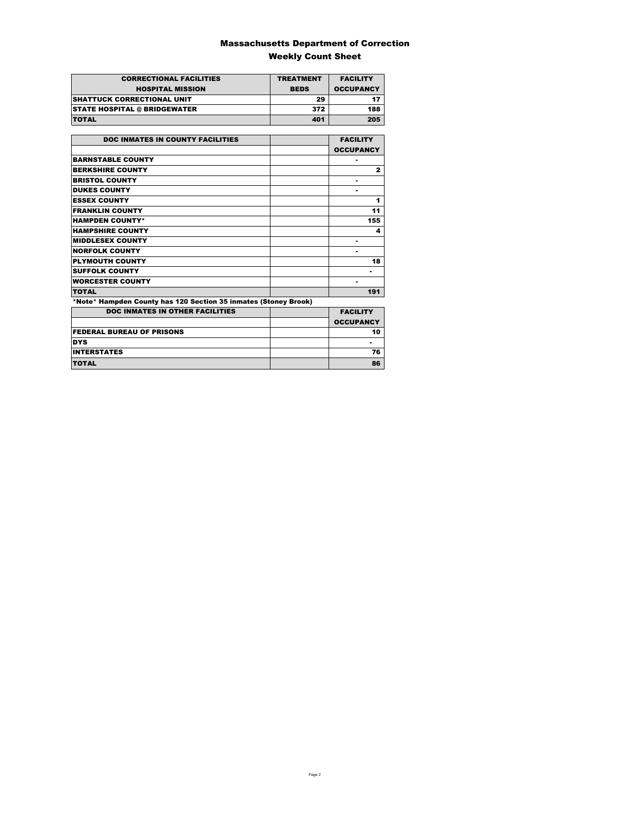### Massachusetts Department of Correction Weekly Count Sheet

| <b>CORRECTIONAL FACILITIES</b>      | <b>TREATMENT</b> | <b>FACILITY</b>  |
|-------------------------------------|------------------|------------------|
| <b>HOSPITAL MISSION</b>             | <b>BEDS</b>      | <b>OCCUPANCY</b> |
| <b>ISHATTUCK CORRECTIONAL UNIT</b>  | 29               |                  |
| <b>STATE HOSPITAL @ BRIDGEWATER</b> | 372              | 188              |
| <b>TOTAL</b>                        | 401              | 205              |

| <b>DOC INMATES IN COUNTY FACILITIES</b>                         | <b>FACILITY</b>  |
|-----------------------------------------------------------------|------------------|
|                                                                 | <b>OCCUPANCY</b> |
| <b>BARNSTABLE COUNTY</b>                                        | ۰                |
| <b>BERKSHIRE COUNTY</b>                                         | $\mathbf{z}$     |
| <b>BRISTOL COUNTY</b>                                           | ۰                |
| <b>DUKES COUNTY</b>                                             |                  |
| <b>ESSEX COUNTY</b>                                             | 1                |
| <b>FRANKLIN COUNTY</b>                                          | 11               |
| <b>HAMPDEN COUNTY*</b>                                          | 155              |
| <b>HAMPSHIRE COUNTY</b>                                         | 4                |
| <b>MIDDLESEX COUNTY</b>                                         | ۰                |
| <b>NORFOLK COUNTY</b>                                           |                  |
| <b>PLYMOUTH COUNTY</b>                                          | 18               |
| <b>SUFFOLK COUNTY</b>                                           |                  |
| <b>WORCESTER COUNTY</b>                                         |                  |
| <b>TOTAL</b>                                                    | 191              |
| *Note* Hampden County has 120 Section 35 inmates (Stoney Brook) |                  |
| <b>DOC INMATES IN OTHER FACILITIES</b>                          | <b>FACILITY</b>  |
|                                                                 | <b>OCCUPANCY</b> |
| <b>FEDERAL BUREAU OF PRISONS</b>                                | 10               |
| <b>DYS</b>                                                      |                  |
| <b>INTERSTATES</b>                                              | 76               |

TOTAL 86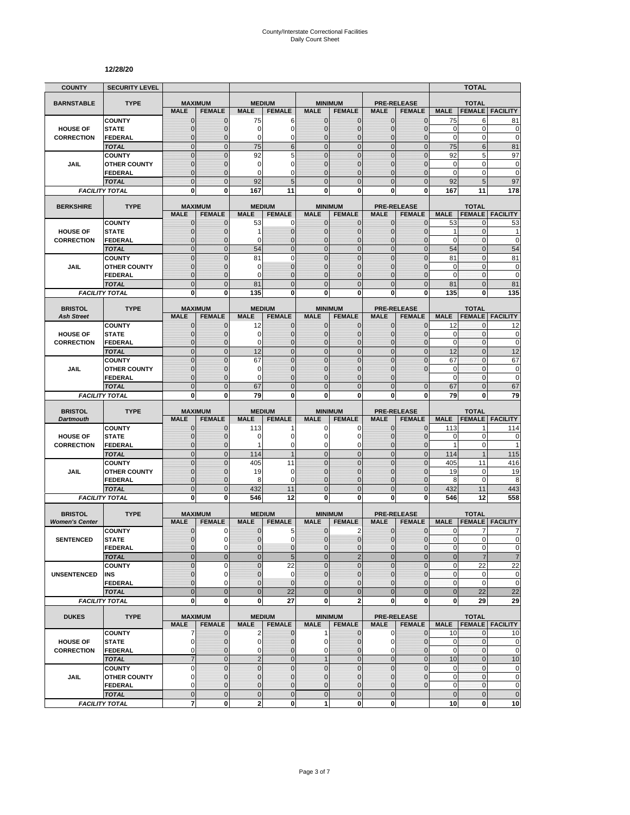#### **12/28/20**

| <b>COUNTY</b>                           | <b>SECURITY LEVEL</b>                 |                               |                                |                     |                                |                              |                                 |                            |                                     |                   | <b>TOTAL</b>                  |                        |
|-----------------------------------------|---------------------------------------|-------------------------------|--------------------------------|---------------------|--------------------------------|------------------------------|---------------------------------|----------------------------|-------------------------------------|-------------------|-------------------------------|------------------------|
| <b>BARNSTABLE</b>                       | <b>TYPE</b>                           | <b>MAXIMUM</b>                |                                |                     | <b>MEDIUM</b>                  |                              | <b>MINIMUM</b>                  |                            | <b>PRE-RELEASE</b>                  |                   | <b>TOTAL</b>                  |                        |
|                                         |                                       | <b>MALE</b>                   | <b>FEMALE</b>                  | <b>MALE</b>         | <b>FEMALE</b>                  | <b>MALE</b>                  | <b>FEMALE</b>                   | <b>MALE</b>                | <b>FEMALE</b>                       | <b>MALE</b>       | <b>FEMALE</b>                 | <b>FACILITY</b>        |
|                                         | <b>COUNTY</b>                         | $\mathbf 0$                   | $\mathbf{0}$                   | 75                  | 6                              | $\mathbf{0}$                 | 0                               | $\mathbf{0}$               | $\overline{0}$                      | 75                | 6                             | 81                     |
| <b>HOUSE OF</b>                         | <b>STATE</b>                          | $\mathbf 0$                   | $\mathbf{0}$                   | 0                   | 0                              | $\mathbf{0}$                 | 0                               | $\mathbf{0}$               | $\overline{0}$                      | 0                 | 0                             | $\mathbf 0$            |
| <b>CORRECTION</b>                       | <b>FEDERAL</b>                        | $\Omega$<br>$\overline{0}$    | $\mathbf 0$<br>$\mathbf{0}$    | 0<br>75             | $\mathbf 0$<br>$6\phantom{1}6$ | 0<br>$\mathbf{0}$            | $\overline{0}$<br>$\mathbf 0$   | $\Omega$<br>$\overline{0}$ | 0<br>$\overline{0}$                 | $\mathbf 0$<br>75 | 0<br>$6\phantom{1}$           | $\mathbf 0$<br>81      |
|                                         | <b>TOTAL</b><br><b>COUNTY</b>         | $\mathbf 0$                   | $\mathbf 0$                    | 92                  | 5                              | $\mathbf{0}$                 | $\mathbf 0$                     | $\mathbf 0$                | $\mathbf 0$                         | 92                | 5                             | 97                     |
| JAIL                                    | <b>OTHER COUNTY</b>                   | $\overline{0}$                | $\mathbf 0$                    | $\mathbf 0$         | $\mathbf 0$                    | $\Omega$                     | $\overline{0}$                  | $\Omega$                   | $\overline{0}$                      | $\mathbf 0$       | 0                             | $\bf{0}$               |
|                                         | FEDERAL                               | $\mathbf 0$                   | $\mathbf{0}$                   | 0                   | $\mathbf 0$                    | $\mathbf{0}$                 | 0                               | $\mathbf{0}$               | 0                                   | 0                 | $\mathbf 0$                   | $\mathbf 0$            |
|                                         | <b>TOTAL</b>                          | $\overline{0}$                | $\mathbf{0}$                   | 92                  | 5                              | $\Omega$                     | $\overline{0}$                  | $\Omega$                   | $\mathbf 0$                         | 92                | 5                             | 97                     |
|                                         | <b>FACILITY TOTAL</b>                 | $\bf{0}$                      | $\bf{0}$                       | 167                 | 11                             | 0                            | 0                               | 0                          | $\mathbf{0}$                        | 167               | 11                            | 178                    |
|                                         |                                       |                               |                                |                     | <b>MEDIUM</b>                  |                              |                                 |                            |                                     |                   |                               |                        |
| <b>BERKSHIRE</b>                        | <b>TYPE</b>                           | <b>MAXIMUM</b><br><b>MALE</b> | <b>FEMALE</b>                  | <b>MALE</b>         | <b>FEMALE</b>                  | <b>MALE</b>                  | <b>MINIMUM</b><br><b>FEMALE</b> | <b>MALE</b>                | <b>PRE-RELEASE</b><br><b>FEMALE</b> | <b>MALE</b>       | <b>TOTAL</b><br><b>FEMALE</b> | <b>FACILITY</b>        |
|                                         | <b>COUNTY</b>                         | $\mathbf 0$                   | $\mathbf 0$                    | 53                  | 0                              | $\mathbf{0}$                 | 0                               | $\mathbf 0$                | $\mathbf{0}$                        | 53                | 0                             | 53                     |
| <b>HOUSE OF</b>                         | <b>STATE</b>                          | $\mathbf 0$                   | $\mathbf 0$                    | 1                   | $\pmb{0}$                      | $\mathbf{0}$                 | $\mathbf 0$                     | $\mathbf{0}$               | $\mathbf 0$                         | $\mathbf{1}$      | $\mathbf{0}$                  | 1                      |
| <b>CORRECTION</b>                       | <b>FEDERAL</b>                        | $\mathbf{0}$                  | $\mathbf 0$                    | $\Omega$            | $\mathbf{0}$                   | $\mathbf{0}$                 | $\overline{0}$                  | $\mathbf{0}$               | $\overline{0}$                      | $\mathbf 0$       | $\mathbf{0}$                  | $\mathbf 0$            |
|                                         | <b>TOTAL</b>                          | $\overline{0}$                | $\Omega$                       | 54                  | $\overline{0}$                 | $\mathbf 0$                  | $\mathbf 0$                     | $\mathbf{0}$               | $\overline{0}$                      | 54                | $\overline{0}$                | 54                     |
|                                         | <b>COUNTY</b>                         | $\overline{0}$                | $\mathbf 0$                    | 81                  | $\mathbf 0$                    | $\mathbf 0$                  | $\overline{0}$                  | $\Omega$                   | $\overline{0}$                      | 81                | $\mathbf 0$                   | 81                     |
| JAIL                                    | <b>OTHER COUNTY</b><br><b>FEDERAL</b> | $\mathbf 0$<br>$\overline{0}$ | $\mathbf 0$<br>$\mathbf 0$     | 0<br>$\Omega$       | $\mathbf 0$<br>$\overline{0}$  | $\mathbf{0}$<br>$\mathbf{0}$ | 0<br>$\overline{0}$             | $\Omega$<br>$\Omega$       | $\mathbf 0$<br>$\overline{0}$       | 0<br>$\mathbf 0$  | $\mathbf 0$<br>$\mathbf{0}$   | 0<br>$\mathbf 0$       |
|                                         | <b>TOTAL</b>                          | $\mathbf 0$                   | $\overline{0}$                 | 81                  | $\mathbf 0$                    | $\mathbf 0$                  | $\mathbf 0$                     | $\mathbf{0}$               | $\mathbf 0$                         | 81                | $\mathbf{0}$                  | 81                     |
|                                         | <b>FACILITY TOTAL</b>                 | $\mathbf 0$                   | 0                              | 135                 | $\mathbf 0$                    | $\mathbf{0}$                 | $\mathbf 0$                     | $\mathbf 0$                | $\mathbf{0}$                        | 135               | 0                             | 135                    |
|                                         |                                       |                               |                                |                     |                                |                              |                                 |                            |                                     |                   |                               |                        |
| <b>BRISTOL</b>                          | <b>TYPE</b>                           | <b>MAXIMUM</b>                |                                |                     | <b>MEDIUM</b>                  |                              | <b>MINIMUM</b>                  |                            | <b>PRE-RELEASE</b>                  |                   | <b>TOTAL</b>                  |                        |
| <b>Ash Street</b>                       |                                       | <b>MALE</b>                   | <b>FEMALE</b>                  | <b>MALE</b>         | <b>FEMALE</b>                  | <b>MALE</b>                  | <b>FEMALE</b>                   | <b>MALE</b>                | <b>FEMALE</b>                       | <b>MALE</b>       | <b>FEMALE</b>                 | <b>FACILITY</b>        |
| <b>HOUSE OF</b>                         | <b>COUNTY</b><br><b>STATE</b>         | $\mathbf 0$<br>$\mathbf 0$    | $\mathbf 0$<br>$\Omega$        | 12<br>0             | $\mathbf{0}$<br>$\mathbf 0$    | $\mathbf 0$<br>$\Omega$      | $\mathbf{0}$<br>0               | $\mathbf 0$<br>$\Omega$    | $\overline{0}$<br>$\overline{0}$    | 12<br>$\mathbf 0$ | 0<br>0                        | 12<br>$\bf{0}$         |
| <b>CORRECTION</b>                       | <b>FEDERAL</b>                        | $\overline{0}$                | $\mathbf{0}$                   | 0                   | $\mathbf 0$                    | $\mathbf{0}$                 | $\mathbf 0$                     | $\mathbf{0}$               | $\mathbf 0$                         | $\mathbf 0$       | $\mathbf{0}$                  | $\mathbf 0$            |
|                                         | <b>TOTAL</b>                          | $\overline{0}$                | $\mathbf{0}$                   | 12                  | $\mathbf 0$                    | $\overline{0}$               | $\mathbf 0$                     | $\mathbf{0}$               | $\mathbf 0$                         | 12                | $\overline{0}$                | 12                     |
|                                         | <b>COUNTY</b>                         | $\Omega$                      | $\Omega$                       | 67                  | $\Omega$                       | $\Omega$                     | $\overline{0}$                  | $\Omega$                   | $\overline{0}$                      | 67                | $\overline{0}$                | 67                     |
| JAIL                                    | <b>OTHER COUNTY</b>                   | $\overline{0}$                | $\mathbf 0$                    | 0                   | $\overline{0}$                 | $\mathbf{0}$                 | $\overline{0}$                  | $\mathbf 0$                | $\Omega$                            | $\mathbf 0$       | $\mathbf 0$                   | $\mathbf 0$            |
|                                         | <b>FEDERAL</b>                        | $\overline{0}$                | $\mathbf 0$                    | 0                   | $\mathbf 0$                    | $\mathbf{0}$                 | 0                               | $\Omega$                   |                                     | $\mathbf 0$       | 0                             | $\mathbf 0$            |
|                                         | <b>TOTAL</b>                          | $\overline{0}$                | $\Omega$                       | 67                  | $\mathbf 0$                    | $\Omega$                     | $\overline{0}$                  | $\Omega$                   | $\overline{0}$                      | 67                | $\overline{0}$                | 67                     |
|                                         | <b>FACILITY TOTAL</b>                 | 0                             | 0                              | 79                  | 0                              | $\mathbf{0}$                 | 0                               | 0                          | 0                                   | 79                | 0                             | 79                     |
| <b>BRISTOL</b>                          | <b>TYPE</b>                           | <b>MAXIMUM</b>                |                                |                     | <b>MEDIUM</b>                  |                              | <b>MINIMUM</b>                  |                            | <b>PRE-RELEASE</b>                  |                   | <b>TOTAL</b>                  |                        |
| <b>Dartmouth</b>                        |                                       | <b>MALE</b>                   | <b>FEMALE</b>                  | <b>MALE</b>         | <b>FEMALE</b>                  | <b>MALE</b>                  | <b>FEMALE</b>                   | <b>MALE</b>                | <b>FEMALE</b>                       | <b>MALE</b>       | <b>FEMALE</b>                 | <b>FACILITY</b>        |
|                                         | <b>COUNTY</b>                         | $\mathbf 0$                   | $\mathbf 0$                    | 113                 | 1                              | 0                            | 0                               | $\mathbf 0$                | $\overline{0}$                      | 113               |                               | 114                    |
| <b>HOUSE OF</b>                         | <b>STATE</b>                          | $\mathbf 0$                   | $\Omega$                       | 0                   | $\mathbf 0$                    | $\Omega$                     | 0                               | $\Omega$                   | $\mathbf{0}$                        | 0                 | $\mathbf 0$                   | $\mathbf 0$            |
| <b>CORRECTION</b>                       | <b>FEDERAL</b>                        | $\overline{0}$                | $\mathbf{0}$                   | 1                   | $\mathbf 0$                    | $\mathbf 0$                  | 0                               | $\mathbf{0}$               | $\overline{0}$                      | 1                 | 0                             | 1                      |
|                                         | <b>TOTAL</b>                          | $\overline{0}$                | $\mathbf{0}$                   | 114                 | $\mathbf{1}$                   | $\overline{0}$               | $\overline{0}$                  | $\mathbf{0}$               | $\overline{0}$                      | 114               | $\mathbf{1}$                  | 115                    |
|                                         | <b>COUNTY</b><br><b>OTHER COUNTY</b>  | $\mathbf 0$<br>$\overline{0}$ | $\overline{0}$<br>$\Omega$     | 405<br>19           | 11<br>$\mathbf 0$              | $\mathbf 0$<br>$\Omega$      | $\mathbf 0$<br>$\overline{0}$   | $\mathbf{0}$<br>$\Omega$   | $\mathbf 0$<br>$\Omega$             | 405<br>19         | 11<br>0                       | 416<br>19              |
| <b>JAIL</b>                             | <b>FEDERAL</b>                        | $\mathbf 0$                   | $\mathbf 0$                    | 8                   | 0                              | $\mathbf 0$                  | $\mathbf 0$                     | $\mathbf{0}$               | $\overline{0}$                      | 8                 | $\mathbf 0$                   | 8                      |
|                                         | <b>TOTAL</b>                          | $\mathbf 0$                   | $\mathbf{0}$                   | 432                 | 11                             | $\mathbf 0$                  | $\mathbf 0$                     | $\mathbf{0}$               | $\mathbf 0$                         | 432               | 11                            | 443                    |
|                                         | <b>FACILITY TOTAL</b>                 | $\bf{0}$                      | $\bf{0}$                       | 546                 | 12                             | $\mathbf{0}$                 | 0                               | 0                          | 0                                   | 546               | 12                            | 558                    |
|                                         |                                       |                               |                                |                     |                                |                              |                                 |                            |                                     |                   |                               |                        |
| <b>BRISTOL</b><br><b>Women's Center</b> | <b>TYPE</b>                           | <b>MAXIMUM</b><br><b>MALE</b> | <b>FEMALE</b>                  | <b>MALE</b>         | <b>MEDIUM</b><br><b>FEMALE</b> | <b>MALE</b>                  | <b>MINIMUM</b><br><b>FEMALE</b> | <b>MALE</b>                | <b>PRE-RELEASE</b><br><b>FEMALE</b> | <b>MALE</b>       | <b>TOTAL</b><br><b>FEMALE</b> | <b>FACILITY</b>        |
|                                         | <b>COUNTY</b>                         | $\mathbf{0}$                  | 0                              | 0                   | 5                              | $\mathbf{0}$                 | 2                               | $\mathbf{0}$               | $\mathbf{0}$                        | $\mathbf{0}$      | 7                             | 7                      |
| <b>SENTENCED</b>                        | <b>STATE</b>                          | $\Omega$                      | 0                              | $\Omega$            | $\Omega$                       | $\Omega$                     | $\Omega$                        | $\Omega$                   | $\Omega$                            | $\mathbf{0}$      | $\overline{0}$                | $\Omega$               |
|                                         | <b>FEDERAL</b>                        | $\mathbf 0$                   | $\pmb{0}$                      | $\pmb{0}$           | $\pmb{0}$                      | $\mathbf 0$                  | $\mathbf 0$                     | $\mathbf 0$                | $\mathbf 0$                         | $\pmb{0}$         | $\mathbf 0$                   | $\pmb{0}$              |
|                                         | <b>TOTAL</b>                          | $\mathbf 0$                   | $\mathbf 0$                    | $\mathbf 0$         | 5                              | $\mathbf 0$                  | $\overline{2}$                  | $\mathbf{0}$               | $\mathbf 0$                         | $\bf 0$           | $\overline{7}$                | $\overline{7}$         |
|                                         | <b>COUNTY</b>                         | $\mathbf 0$                   | $\mathbf 0$                    | 0                   | 22                             | $\mathbf{0}$                 | $\mathbf 0$                     | $\mathbf{0}$               | $\mathbf 0$                         | $\pmb{0}$         | 22                            | 22                     |
| UNSENTENCED                             | INS                                   | $\mathbf{0}$                  | $\mathbf 0$                    | $\pmb{0}$           | $\mathbf 0$                    | $\mathbf{0}$                 | $\mathbf{0}$                    | $\mathbf{0}$               | $\mathbf{0}$                        | $\mathbf{0}$      | 0                             | $\pmb{0}$              |
|                                         | <b>FEDERAL</b>                        | $\overline{0}$                | $\Omega$                       | $\overline{0}$      | $\mathbf 0$                    | $\mathbf{0}$                 | $\overline{0}$                  | $\mathbf{0}$               | $\mathbf 0$                         | $\pmb{0}$         | $\mathbf 0$                   | $\pmb{0}$              |
|                                         | <b>TOTAL</b>                          | $\overline{0}$<br>$\mathbf 0$ | $\overline{0}$<br>$\mathbf{0}$ | $\mathbf{0}$        | 22                             | $\overline{0}$               | $\mathbf{0}$<br>$\overline{a}$  | $\mathbf{0}$               | $\mathbf 0$<br>$\mathbf{0}$         | $\bf 0$           | 22                            | $\overline{22}$        |
|                                         | <b>FACILITY TOTAL</b>                 |                               |                                | 0                   | 27                             | 0                            |                                 | $\mathbf{0}$               |                                     | 0                 | 29                            | 29                     |
| <b>DUKES</b>                            | <b>TYPE</b>                           |                               | <b>MAXIMUM</b>                 |                     | <b>MEDIUM</b>                  |                              | <b>MINIMUM</b>                  |                            | <b>PRE-RELEASE</b>                  |                   | <b>TOTAL</b>                  |                        |
|                                         |                                       | <b>MALE</b>                   | <b>FEMALE</b>                  | <b>MALE</b>         | <b>FEMALE</b>                  | <b>MALE</b>                  | <b>FEMALE</b>                   | <b>MALE</b>                | <b>FEMALE</b>                       | <b>MALE</b>       |                               | <b>FEMALE FACILITY</b> |
|                                         | <b>COUNTY</b>                         | 7                             | $\mathbf 0$                    | 2                   | $\mathbf{0}$                   | 1                            | $\mathbf{0}$                    | $\mathbf 0$                | $\mathbf 0$                         | 10                | $\mathbf 0$                   | 10                     |
| <b>HOUSE OF</b>                         | <b>STATE</b>                          | 0                             | $\mathbf{0}$                   | 0                   | $\pmb{0}$                      | 0                            | 0                               | 0                          | $\pmb{0}$                           | 0                 | $\mathbf{0}$                  | $\mathbf 0$            |
| <b>CORRECTION</b>                       | <b>FEDERAL</b><br><b>TOTAL</b>        | $\mathbf 0$<br>$\overline{7}$ | $\mathbf{0}$<br>$\mathbf{0}$   | 0<br>$\overline{2}$ | $\mathbf{0}$<br>$\mathbf 0$    | 0<br>$\mathbf{1}$            | $\mathbf 0$<br>$\mathbf 0$      | 0<br>$\mathbf{0}$          | $\overline{0}$<br>$\overline{0}$    | $\pmb{0}$<br>10   | 0<br>$\mathbf 0$              | $\mathbf 0$<br>10      |
|                                         | <b>COUNTY</b>                         | 0                             | $\overline{0}$                 | $\mathbf 0$         | $\mathbf 0$                    | $\mathbf 0$                  | $\mathbf 0$                     | $\mathbf 0$                | $\mathbf 0$                         | $\mathbf 0$       | $\mathbf{0}$                  | $\pmb{0}$              |
| <b>JAIL</b>                             | <b>OTHER COUNTY</b>                   | $\mathbf 0$                   | $\Omega$                       | $\mathbf 0$         | $\mathbf{0}$                   | $\Omega$                     | $\mathbf 0$                     | $\Omega$                   | $\mathbf 0$                         | $\pmb{0}$         | $\mathbf{0}$                  | $\pmb{0}$              |
|                                         | <b>FEDERAL</b>                        | 0                             | $\mathbf{0}$                   | $\mathbf{0}$        | $\pmb{0}$                      | $\mathbf{0}$                 | $\mathbf 0$                     | $\mathbf{0}$               | $\mathbf{0}$                        | $\mathbf 0$       | $\mathbf 0$                   | $\pmb{0}$              |
|                                         | <b>TOTAL</b>                          | $\mathbf 0$                   | $\mathbf{0}$                   | $\pmb{0}$           | $\mathbf 0$                    | $\mathbf{0}$                 | $\mathbf 0$                     | $\mathbf{0}$               |                                     | $\mathbf 0$       | $\mathbf 0$                   | $\pmb{0}$              |
|                                         | <b>FACILITY TOTAL</b>                 | 7                             | 0                              | 2                   | $\mathbf 0$                    | $\mathbf{1}$                 | 0                               | $\mathbf{0}$               |                                     | 10                | 0                             | 10                     |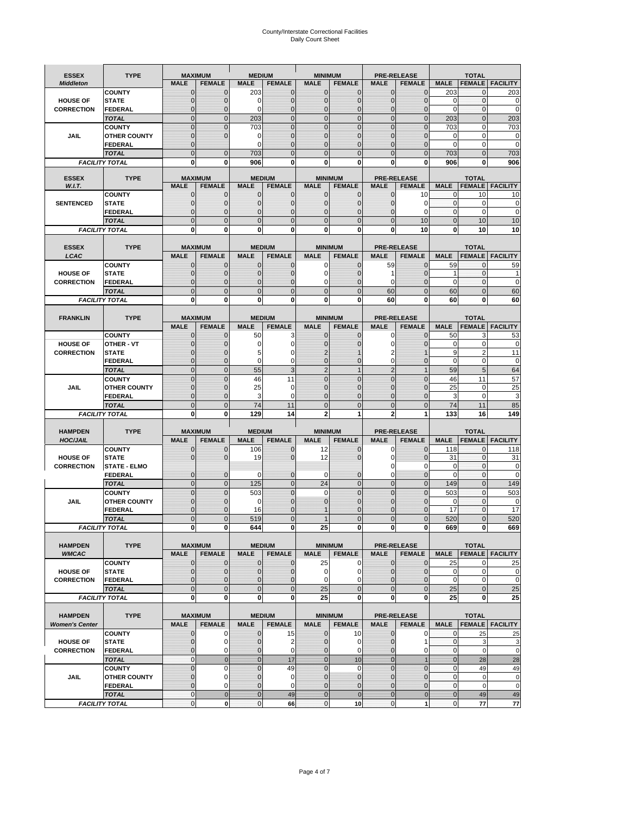# County/Interstate Correctional Facilities Daily Count Sheet

| <b>ESSEX</b>                         | <b>TYPE</b>                          |                              | <b>MAXIMUM</b>                   | <b>MEDIUM</b>                  |                                | <b>MINIMUM</b>               |                            |                               | <b>PRE-RELEASE</b>                  |                               | <b>TOTAL</b>                  |                          |
|--------------------------------------|--------------------------------------|------------------------------|----------------------------------|--------------------------------|--------------------------------|------------------------------|----------------------------|-------------------------------|-------------------------------------|-------------------------------|-------------------------------|--------------------------|
| <b>Middleton</b>                     |                                      | <b>MALE</b>                  | <b>FEMALE</b>                    | <b>MALE</b>                    | <b>FEMALE</b>                  | <b>MALE</b>                  | <b>FEMALE</b>              | MALE                          | <b>FEMALE</b>                       | <b>MALE</b>                   | <b>FEMALE</b>                 | <b>FACILITY</b>          |
|                                      | <b>COUNTY</b>                        | 0                            | 0                                | 203                            | 0                              | $\mathbf 0$                  | $\mathbf{0}$               | $\mathbf{0}$                  | $\Omega$                            | 203                           | 0                             | 203                      |
| <b>HOUSE OF</b>                      | <b>STATE</b>                         | 0                            | $\mathbf 0$                      | $\Omega$                       | 0                              | $\mathbf{0}$                 | $\Omega$                   | $\mathbf 0$                   | $\Omega$                            | $\Omega$                      | $\Omega$                      | 0                        |
| <b>CORRECTION</b>                    | <b>FEDERAL</b>                       | 0<br>$\overline{0}$          | $\mathbf 0$                      | 0                              | 0                              | $\mathbf{0}$                 | $\mathbf 0$                | $\mathbf{0}$                  | $\mathbf 0$                         | $\mathbf 0$                   | $\mathbf{0}$                  | $\mathbf 0$              |
|                                      | <b>TOTAL</b><br><b>COUNTY</b>        | $\mathbf 0$                  | $\overline{0}$<br>$\overline{0}$ | 203<br>703                     | $\mathbf 0$<br>$\overline{0}$  | $\mathbf 0$<br>$\mathbf{0}$  | $\overline{0}$<br>$\Omega$ | $\mathbf 0$<br>$\mathbf 0$    | $\overline{0}$<br>$\Omega$          | 203<br>703                    | $\mathbf{0}$<br>$\mathbf 0$   | 203<br>703               |
| JAIL                                 | <b>OTHER COUNTY</b>                  | $\mathbf 0$                  | $\overline{0}$                   | 0                              | 0                              | $\mathbf{0}$                 | $\mathbf{0}$               | $\mathbf 0$                   | $\mathcal{C}$                       | 0                             | $\mathbf 0$                   | 0                        |
|                                      | <b>FEDERAL</b>                       | $\mathbf{0}$                 |                                  | $\Omega$                       | $\Omega$                       | $\mathbf{0}$                 | $\Omega$                   | $\mathbf{0}$                  | $\mathbf 0$                         | $\Omega$                      | $\mathbf 0$                   | $\mathbf 0$              |
|                                      | <b>TOTAL</b>                         | $\overline{0}$               | $\mathbf 0$                      | 703                            | $\Omega$                       | $\Omega$                     | $\Omega$                   | $\overline{0}$                | $\Omega$                            | 703                           | $\Omega$                      | 703                      |
|                                      | <b>FACILITY TOTAL</b>                | 0                            | 0                                | 906                            | O                              | $\bf{0}$                     | 0                          | 0                             | 0                                   | 906                           | 0                             | 906                      |
|                                      |                                      |                              |                                  |                                |                                |                              | <b>MINIMUM</b>             |                               |                                     |                               |                               |                          |
| <b>ESSEX</b><br>W.I.T.               | <b>TYPE</b>                          | <b>MALE</b>                  | <b>MAXIMUM</b><br><b>FEMALE</b>  | <b>MALE</b>                    | <b>MEDIUM</b><br><b>FEMALE</b> | <b>MALE</b>                  | <b>FEMALE</b>              | <b>MALE</b>                   | <b>PRE-RELEASE</b><br><b>FEMALE</b> | <b>MALE</b>                   | <b>TOTAL</b><br><b>FEMALE</b> | <b>FACILITY</b>          |
|                                      | <b>COUNTY</b>                        | $\mathbf{0}$                 | 0                                | $\mathbf 0$                    | $\mathbf 0$                    | $\mathbf 0$                  | $\mathbf{0}$               | $\mathbf 0$                   | 10                                  | 0                             | 10                            | 10                       |
| <b>SENTENCED</b>                     | <b>STATE</b>                         | 0                            | $\mathbf 0$                      | $\mathbf{0}$                   | $\overline{0}$                 | $\mathbf{0}$                 | $\mathbf{0}$               | $\mathbf{0}$                  | $\Omega$                            | $\mathbf{0}$                  | $\mathbf 0$                   | 0                        |
|                                      | <b>FEDERAL</b>                       | $\mathbf 0$                  | $\mathbf 0$                      | $\mathbf{0}$                   | 0                              | $\mathbf{0}$                 | 0                          | $\mathbf 0$                   | $\Omega$                            | $\mathbf{0}$                  | $\Omega$                      | $\mathbf 0$              |
|                                      | <b>TOTAL</b>                         | $\overline{0}$               | $\overline{0}$                   | $\mathbf 0$                    | $\overline{0}$                 | $\mathbf{0}$                 | $\overline{0}$             | $\overline{0}$                | 10                                  | $\mathbf{0}$                  | 10                            | 10                       |
|                                      | <b>FACILITY TOTAL</b>                | 0                            | 0                                | $\bf{0}$                       | O                              | $\bf{0}$                     | 0                          | 0                             | 10                                  | $\bf{0}$                      | 10                            | 10                       |
| <b>ESSEX</b>                         | <b>TYPE</b>                          |                              | <b>MAXIMUM</b>                   |                                | <b>MEDIUM</b>                  |                              | <b>MINIMUM</b>             |                               | <b>PRE-RELEASE</b>                  |                               | <b>TOTAL</b>                  |                          |
| LCAC                                 |                                      | <b>MALE</b>                  | <b>FEMALE</b>                    | <b>MALE</b>                    | <b>FEMALE</b>                  | <b>MALE</b>                  | <b>FEMALE</b>              | <b>MALE</b>                   | <b>FEMALE</b>                       | <b>MALE</b>                   |                               | <b>FEMALE</b>   FACILITY |
|                                      | <b>COUNTY</b>                        | 0                            | 0                                | $\mathbf{0}$                   | 0                              | 0                            | $\mathbf{0}$               | 59                            | $\Omega$                            | 59                            | $\Omega$                      | 59                       |
| <b>HOUSE OF</b>                      | <b>STATE</b>                         | 0                            | $\overline{0}$                   | $\mathbf 0$                    | 0                              | $\mathbf 0$                  | $\Omega$                   | 1                             | $\sqrt{ }$                          | 1                             | $\mathbf 0$                   |                          |
| <b>CORRECTION</b>                    | FEDERAL                              | 0                            | 0                                | $\mathbf{0}$                   | 0                              | 0                            | $\Omega$                   | 0                             | $\mathbf 0$                         | $\mathbf 0$                   | $\mathbf 0$                   | $\mathbf 0$              |
|                                      | <b>TOTAL</b>                         | $\Omega$                     | $\overline{0}$                   | $\mathbf 0$                    | $\overline{0}$                 | $\mathbf{0}$                 | $\Omega$                   | 60                            | $\Omega$                            | 60                            | $\Omega$                      | 60                       |
|                                      | <b>FACILITY TOTAL</b>                | 0                            | 0                                | 0                              | 0                              | $\bf{0}$                     | 0                          | 60                            | $\bf{0}$                            | 60                            | 0                             | 60                       |
| <b>FRANKLIN</b>                      | <b>TYPE</b>                          |                              | <b>MAXIMUM</b>                   |                                | <b>MEDIUM</b>                  |                              | <b>MINIMUM</b>             |                               | <b>PRE-RELEASE</b>                  |                               | <b>TOTAL</b>                  |                          |
|                                      |                                      | <b>MALE</b>                  | <b>FEMALE</b>                    | <b>MALE</b>                    | <b>FEMALE</b>                  | <b>MALE</b>                  | <b>FEMALE</b>              | <b>MALE</b>                   | <b>FEMALE</b>                       | <b>MALE</b>                   | <b>FEMALE</b>                 | <b>FACILITY</b>          |
|                                      | <b>COUNTY</b>                        | $\mathbf{0}$                 | 0                                | 50                             | 3                              | $\mathbf{0}$                 | 0                          | 0                             | $\Omega$                            | 50                            | 3                             | 53                       |
| <b>HOUSE OF</b>                      | <b>OTHER - VT</b>                    | 0                            | $\overline{0}$                   | 0                              | 0                              | $\mathbf{0}$                 |                            | $\mathbf 0$                   | $\Omega$                            | $\mathbf 0$                   | $\mathbf 0$                   | $\mathbf 0$              |
| <b>CORRECTION</b>                    | <b>STATE</b>                         | $\Omega$                     | $\mathbf 0$                      | 5                              | 0                              | $\overline{2}$               |                            | 2                             |                                     | 9                             | $\overline{2}$                | 11                       |
|                                      | FEDERAL                              | $\mathbf{0}$                 | $\overline{0}$                   | $\mathbf 0$                    | 0                              | $\mathbf{0}$                 | $\mathbf{0}$               | $\mathbf 0$                   | $\overline{0}$                      | $\mathbf 0$                   | $\mathbf 0$                   | $\mathbf 0$              |
|                                      | <b>TOTAL</b>                         | $\overline{0}$               | $\mathbf{0}$                     | 55                             | 3                              | $\overline{2}$               | $\mathbf{1}$               | $\overline{2}$                | $\overline{1}$                      | 59                            | 5                             | 64                       |
| JAIL                                 | <b>COUNTY</b><br><b>OTHER COUNTY</b> | $\Omega$<br>0                | $\overline{0}$<br>$\overline{0}$ | 46<br>25                       | 11<br>0                        | $\Omega$<br>$\mathbf 0$      | $\Omega$<br>$\Omega$       | $\mathbf 0$<br>$\mathbf 0$    | $\Omega$<br>$\sqrt{ }$              | 46<br>25                      | 11<br>$\mathbf 0$             | 57<br>25                 |
|                                      | <b>FEDERAL</b>                       | 0                            | 0                                | 3                              | 0                              | $\mathbf{0}$                 | $\mathbf 0$                | $\mathbf{0}$                  | $\mathbf 0$                         | 3                             | $\mathbf 0$                   | 3                        |
|                                      | <b>TOTAL</b>                         | $\mathbf{0}$                 | $\overline{0}$                   | 74                             | 11                             | $\mathbf{0}$                 | $\Omega$                   | $\overline{0}$                | $\Omega$                            | 74                            | 11                            | 85                       |
|                                      | <b>FACILITY TOTAL</b>                | 0                            | 0                                | 129                            | 14                             | $\overline{2}$               | 1                          | $\overline{2}$                | 1                                   | 133                           | 16                            | 149                      |
|                                      |                                      |                              |                                  |                                |                                |                              |                            |                               |                                     |                               |                               |                          |
| <b>HAMPDEN</b>                       | <b>TYPE</b>                          |                              | <b>MAXIMUM</b>                   | <b>MEDIUM</b>                  |                                | <b>MINIMUM</b>               |                            |                               | <b>PRE-RELEASE</b>                  |                               | <b>TOTAL</b>                  |                          |
| <b>HOC/JAIL</b>                      | <b>COUNTY</b>                        | <b>MALE</b><br>0             | <b>FEMALE</b><br>$\mathbf 0$     | <b>MALE</b><br>106             | <b>FEMALE</b><br>0             | <b>MALE</b><br>12            | <b>FEMALE</b><br>0         | <b>MALE</b><br>0              | <b>FEMALE</b><br>$\mathbf 0$        | <b>MALE</b><br>118            | <b>FEMALE</b><br>$\mathbf{0}$ | <b>FACILITY</b><br>118   |
| <b>HOUSE OF</b>                      | <b>STATE</b>                         | 0                            | $\overline{0}$                   | 19                             | 0                              | 12                           | $\Omega$                   | 0                             | $\sqrt{ }$                          | 31                            | $\Omega$                      | 31                       |
| <b>CORRECTION</b>                    | <b>STATE - ELMO</b>                  |                              |                                  |                                |                                |                              |                            | 0                             | 0                                   | $\mathbf 0$                   | $\mathbf{0}$                  | 0                        |
|                                      | <b>FEDERAL</b>                       | $\mathbf{0}$                 | $\mathbf 0$                      | $\Omega$                       | 0                              | 0                            | $\mathbf{0}$               | $\mathbf 0$                   | 0                                   | $\Omega$                      | $\Omega$                      | 0                        |
|                                      | <b>TOTAL</b>                         | $\overline{0}$               | $\overline{0}$                   | 125                            | $\overline{0}$                 | 24                           | $\mathbf{0}$               | $\overline{0}$                | $\Omega$                            | 149                           | $\Omega$                      | 149                      |
|                                      | <b>COUNTY</b>                        | $\overline{0}$               | $\overline{0}$                   | 503                            | 0                              | $\mathbf 0$                  | $\overline{0}$             | $\overline{0}$                | $\overline{0}$                      | 503                           | $\mathbf{0}$                  | 503                      |
| <b>JAIL</b>                          | <b>OTHER COUNTY</b>                  | 0<br>$\Omega$                | $\mathbf 0$                      | 0                              | 0<br>$\Omega$                  | $\mathbf{0}$<br>$\mathbf 1$  | $\Omega$                   | $\mathbf 0$                   | $\sqrt{ }$                          | $\mathbf 0$                   | $\mathbf 0$                   | 0<br>17                  |
|                                      | <b>FEDERAL</b><br><b>TOTAL</b>       | $\overline{0}$               | $\mathbf 0$<br>$\overline{0}$    | 16<br>519                      | $\overline{0}$                 | $\mathbf{1}$                 | $\Omega$<br>$\overline{0}$ | $\mathbf 0$<br>$\overline{0}$ | $\Omega$<br>$\Omega$                | 17<br>520                     | $\Omega$<br>$\Omega$          | 520                      |
|                                      | <b>FACILITY TOTAL</b>                | $\mathbf{0}$                 | $\bf{0}$                         | 644                            | o                              | 25                           | 0                          | $\mathbf{0}$                  | 0                                   | 669                           | 0                             | 669                      |
|                                      |                                      |                              |                                  |                                |                                |                              |                            |                               |                                     |                               |                               |                          |
| <b>HAMPDEN</b>                       | <b>TYPE</b>                          |                              | <b>MAXIMUM</b>                   |                                | <b>MEDIUM</b>                  |                              | <b>MINIMUM</b>             |                               | <b>PRE-RELEASE</b>                  |                               | <b>TOTAL</b>                  |                          |
| <b>WMCAC</b>                         |                                      | <b>MALE</b>                  | <b>FEMALE</b>                    | <b>MALE</b>                    | <b>FEMALE</b>                  | <b>MALE</b>                  | <b>FEMALE</b>              | <b>MALE</b>                   | <b>FEMALE</b>                       | <b>MALE</b>                   |                               | <b>FEMALE   FACILITY</b> |
|                                      | <b>COUNTY</b>                        | $\mathbf 0$                  | $\mathbf{0}$                     | $\mathbf 0$                    | 0                              | 25                           | 0                          | $\mathbf 0$                   | $\mathbf 0$                         | 25                            | 0                             | 25                       |
| <b>HOUSE OF</b><br><b>CORRECTION</b> | <b>STATE</b><br><b>FEDERAL</b>       | $\mathbf{0}$<br>$\mathbf{0}$ | $\mathbf{0}$<br>0                | $\mathbf{0}$<br>$\overline{0}$ | 0<br>0                         | $\mathbf 0$<br>$\mathbf 0$   | 0<br>$\Omega$              | $\mathbf{0}$<br>0             | 0<br>0                              | $\mathbf 0$<br>$\mathbf 0$    | $\mathbf 0$<br>$\mathbf 0$    | 0<br>$\pmb{0}$           |
|                                      | <b>TOTAL</b>                         | $\mathbf 0$                  | $\overline{0}$                   | $\overline{0}$                 | $\overline{0}$                 | 25                           | $\mathbf{0}$               | $\mathbf 0$                   | $\mathbf 0$                         | 25                            | $\mathbf{0}$                  | 25                       |
|                                      | <b>FACILITY TOTAL</b>                | $\bf{0}$                     | 0                                | $\mathbf{0}$                   | 0                              | 25                           | 0                          | 0                             | $\bf{0}$                            | 25                            | 0                             | 25                       |
|                                      |                                      |                              |                                  |                                |                                |                              |                            |                               |                                     |                               |                               |                          |
| <b>HAMPDEN</b>                       | <b>TYPE</b>                          |                              | <b>MAXIMUM</b>                   |                                | <b>MEDIUM</b>                  |                              | <b>MINIMUM</b>             |                               | <b>PRE-RELEASE</b>                  |                               | <b>TOTAL</b>                  |                          |
| <b>Women's Center</b>                |                                      | <b>MALE</b>                  | <b>FEMALE</b>                    | <b>MALE</b>                    | <b>FEMALE</b>                  | <b>MALE</b>                  | <b>FEMALE</b>              | <b>MALE</b>                   | <b>FEMALE</b>                       | <b>MALE</b>                   |                               | <b>FEMALE</b> FACILITY   |
|                                      | <b>COUNTY</b>                        | 0                            | 0                                | $\mathbf 0$                    | 15                             | 0                            | 10                         | 0                             | 0                                   | 0                             | 25                            | 25                       |
| <b>HOUSE OF</b><br><b>CORRECTION</b> | <b>STATE</b><br><b>FEDERAL</b>       | $\mathbf{0}$<br>0            | $\mathbf 0$<br>0                 | $\mathbf{0}$<br>0              | $\overline{2}$<br>$\mathbf 0$  | $\mathbf{0}$<br>$\mathbf{0}$ | 0<br>0                     | $\mathbf 0$<br>$\mathbf{0}$   | 1<br>0                              | $\mathbf 0$<br>$\overline{0}$ | 3<br>$\mathbf 0$              | 3<br>$\mathbf 0$         |
|                                      | <b>TOTAL</b>                         | $\mathbf{0}$                 | $\mathbf 0$                      | $\overline{0}$                 | 17                             | $\mathbf{0}$                 | 10                         | $\mathbf{0}$                  |                                     | $\mathbf{0}$                  | 28                            | 28                       |
|                                      | <b>COUNTY</b>                        | $\overline{0}$               | $\mathbf 0$                      | $\mathbf{0}$                   | 49                             | $\mathbf{0}$                 | $\mathbf 0$                | $\overline{0}$                | $\overline{0}$                      | $\mathbf{0}$                  | 49                            | 49                       |
| <b>JAIL</b>                          | <b>OTHER COUNTY</b>                  | 0                            | $\mathbf 0$                      | $\mathbf 0$                    | 0                              | $\mathbf 0$                  | $\mathbf{0}$               | 0                             | $\Omega$                            | $\mathbf 0$                   | $\mathbf 0$                   | 0                        |
|                                      | <b>FEDERAL</b>                       | $\overline{0}$               | $\mathbf 0$                      | $\mathbf 0$                    | 0                              | $\mathbf 0$                  | $\mathbf{0}$               | $\mathbf 0$                   | $\overline{0}$                      | $\mathbf 0$                   | $\mathbf 0$                   | $\mathbf 0$              |
|                                      | <b>TOTAL</b>                         | $\mathbf 0$                  | $\mathbf 0$                      | $\overline{0}$                 | 49                             | $\overline{0}$               | $\mathbf 0$                | $\mathbf{0}$                  | $\mathbf 0$                         | $\mathbf{0}$                  | 49                            | 49                       |
|                                      | <b>FACILITY TOTAL</b>                | $\pmb{0}$                    | $\mathbf 0$                      | $\mathbf{O}$                   | 66                             | $\mathbf{0}$                 | 10                         | $\mathbf{0}$                  | 1                                   | $\overline{0}$                | 77                            | 77                       |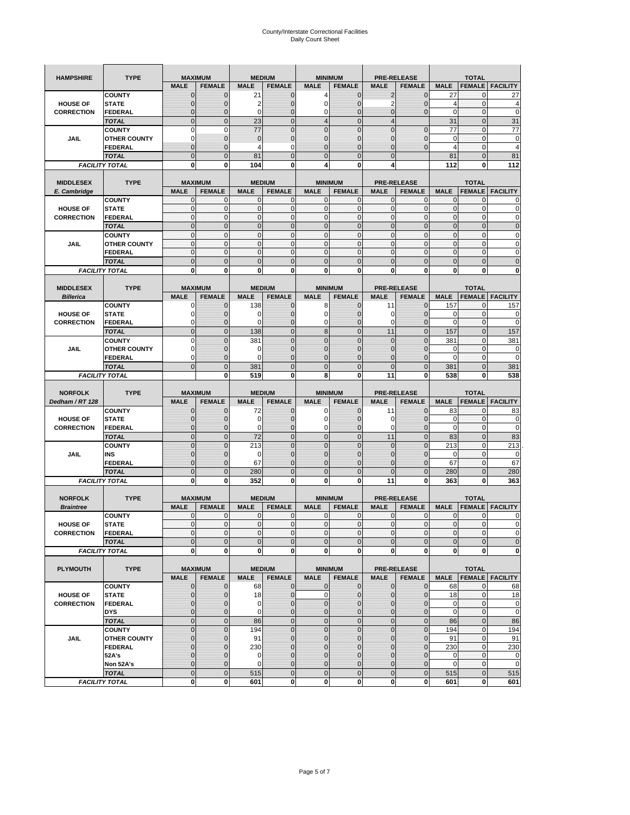| <b>HAMPSHIRE</b>                 | <b>TYPE</b>                           | <b>MAXIMUM</b>               |                               | <b>MEDIUM</b>              |                                | <b>MINIMUM</b>             |                                 | <b>PRE-RELEASE</b>       |                                     | <b>TOTAL</b>               |                               |                            |  |
|----------------------------------|---------------------------------------|------------------------------|-------------------------------|----------------------------|--------------------------------|----------------------------|---------------------------------|--------------------------|-------------------------------------|----------------------------|-------------------------------|----------------------------|--|
|                                  |                                       | <b>MALE</b>                  | <b>FEMALE</b>                 | <b>MALE</b>                | <b>FEMALE</b>                  | <b>MALE</b>                | <b>FEMALE</b>                   | <b>MALE</b>              | <b>FEMALE</b>                       | <b>MALE</b>                | <b>FEMALE</b>                 | <b>FACILITY</b>            |  |
|                                  | <b>COUNTY</b>                         | $\mathbf{0}$                 | $\mathbf 0$                   | 21                         | $\mathbf{0}$                   | 4                          | $\mathbf{0}$                    | $\overline{2}$           | $\overline{0}$                      | 27                         | 0                             | 27                         |  |
| <b>HOUSE OF</b>                  | <b>STATE</b>                          | $\mathbf 0$                  | 0                             | 2                          | 0                              | 0                          | $\overline{0}$                  | 2                        | $\mathbf 0$                         | $\overline{4}$             | $\mathbf 0$                   | 4                          |  |
| <b>CORRECTION</b>                | FEDERAL                               | $\mathbf 0$                  | $\overline{0}$                | $\mathbf 0$                | $\overline{0}$                 | $\mathbf 0$                | $\overline{0}$                  | $\mathbf{0}$             | $\overline{0}$                      | $\mathbf 0$                | $\mathbf{0}$                  | 0                          |  |
|                                  | <b>TOTAL</b>                          | $\mathbf{0}$                 | $\overline{0}$                | 23                         | $\mathbf 0$                    | $\overline{4}$             | $\overline{0}$                  | $\overline{4}$           |                                     | 31                         | $\pmb{0}$                     | 31                         |  |
|                                  | <b>COUNTY</b>                         | $\mathbf 0$                  | $\mathbf 0$                   | 77                         | $\mathbf 0$                    | $\overline{0}$             | $\overline{0}$                  | $\mathbf 0$              | $\mathbf 0$                         | 77                         | $\bf{0}$                      | 77                         |  |
| <b>JAIL</b>                      | <b>OTHER COUNTY</b>                   | $\mathbf 0$                  | $\mathbf 0$                   | $\mathbf 0$                | $\pmb{0}$                      | $\mathbf 0$                | $\overline{0}$                  | 0                        | $\mathbf 0$                         | $\mathbf 0$                | $\mathbf{0}$                  | 0                          |  |
|                                  | <b>FEDERAL</b>                        | $\mathbf{0}$                 | $\mathbf 0$                   | 4                          | 0                              | $\overline{0}$             | $\mathbf{0}$                    | $\overline{0}$           | $\overline{0}$                      | $\overline{4}$             | $\pmb{0}$                     | $\overline{4}$             |  |
|                                  | <b>TOTAL</b>                          | $\mathbf{0}$                 | $\mathbf 0$                   | 81                         | $\mathbf 0$                    | $\overline{0}$             | $\overline{0}$                  | $\mathbf 0$              |                                     | 81                         | $\mathbf 0$                   | 81                         |  |
|                                  | <b>FACILITY TOTAL</b>                 | 0                            | 0                             | 104                        | 0                              | 4                          | 0                               | 4                        |                                     | 112                        | 0                             | 112                        |  |
|                                  | <b>TYPE</b>                           |                              | <b>MAXIMUM</b>                |                            | <b>MEDIUM</b>                  |                            |                                 |                          |                                     |                            | <b>TOTAL</b>                  |                            |  |
| <b>MIDDLESEX</b><br>E. Cambridge |                                       | <b>MALE</b>                  | <b>FEMALE</b>                 | <b>MALE</b>                | <b>FEMALE</b>                  | <b>MALE</b>                | <b>MINIMUM</b><br><b>FEMALE</b> | <b>MALE</b>              | <b>PRE-RELEASE</b><br><b>FEMALE</b> | <b>MALE</b>                | <b>FEMALE</b>                 | <b>FACILITY</b>            |  |
|                                  | <b>COUNTY</b>                         | 0                            | $\mathbf 0$                   | 0                          | 0                              | 0                          | $\mathbf{0}$                    | 0                        | 0                                   | $\mathbf{0}$               | 0                             | 0                          |  |
| <b>HOUSE OF</b>                  | <b>STATE</b>                          | $\pmb{0}$                    | $\mathbf 0$                   | $\mathbf 0$                | $\mathbf 0$                    | $\mathbf{0}$               | $\mathbf 0$                     | $\mathbf{0}$             | $\mathbf 0$                         | $\pmb{0}$                  | $\mathbf{0}$                  | 0                          |  |
| <b>CORRECTION</b>                | <b>FEDERAL</b>                        | $\mathbf{0}$                 | $\mathbf{0}$                  | $\mathbf 0$                | $\mathbf{0}$                   | $\mathbf{0}$               | $\mathbf{0}$                    | $\mathbf{0}$             | $\mathbf 0$                         | $\mathbf{0}$               | $\mathbf{0}$                  | 0                          |  |
|                                  | <b>TOTAL</b>                          | $\mathbf{0}$                 | $\overline{0}$                | $\overline{0}$             | $\mathbf{0}$                   | $\mathbf 0$                | $\mathbf{0}$                    | $\mathbf{0}$             | $\overline{0}$                      | $\pmb{0}$                  | $\mathbf{0}$                  | $\mathbf 0$                |  |
|                                  | <b>COUNTY</b>                         | $\mathbf{0}$                 | $\mathbf 0$                   | $\mathbf 0$                | $\mathbf 0$                    | $\mathbf{0}$               | $\mathbf{0}$                    | $\mathbf{0}$             | $\mathbf 0$                         | $\bf 0$                    | $\pmb{0}$                     | 0                          |  |
| JAIL                             | <b>OTHER COUNTY</b>                   | $\mathbf{0}$                 | $\mathbf 0$                   | $\mathbf 0$                | $\mathbf 0$                    | $\mathbf 0$                | $\Omega$                        | $\mathbf{0}$             | $\mathbf 0$                         | $\mathbf{0}$               | $\mathbf{0}$                  | $\mathbf 0$                |  |
|                                  | <b>FEDERAL</b>                        | $\mathbf{0}$                 | $\mathbf{0}$                  | $\mathbf{0}$               | $\mathbf{0}$                   | $\mathbf 0$                | $\mathbf{0}$                    | $\pmb{0}$                | $\mathbf 0$                         | $\mathbf{0}$               | $\pmb{0}$                     | 0                          |  |
|                                  | <b>TOTAL</b>                          | $\mathbf{0}$                 | $\overline{0}$                | $\mathbf{0}$               | $\mathbf 0$                    | $\mathbf{0}$               | $\mathbf 0$                     | $\mathbf{0}$             | $\overline{0}$                      | $\mathbf 0$                | $\mathbf 0$                   | $\overline{0}$             |  |
|                                  | <b>FACILITY TOTAL</b>                 | 0                            | 0                             | $\mathbf 0$                | 0                              | 0                          | $\mathbf{0}$                    | $\bf{0}$                 | 0                                   | 0                          | 0                             | O                          |  |
| <b>MIDDLESEX</b>                 | <b>TYPE</b>                           |                              | <b>MAXIMUM</b>                |                            | <b>MEDIUM</b>                  |                            | <b>MINIMUM</b>                  |                          | <b>PRE-RELEASE</b>                  |                            | <b>TOTAL</b>                  |                            |  |
| <b>Billerica</b>                 |                                       | <b>MALE</b>                  | <b>FEMALE</b>                 | <b>MALE</b>                | <b>FEMALE</b>                  | <b>MALE</b>                | <b>FEMALE</b>                   | <b>MALE</b>              | <b>FEMALE</b>                       | <b>MALE</b>                | <b>FEMALE</b>                 | <b>FACILITY</b>            |  |
|                                  | <b>COUNTY</b>                         | 0                            | $\mathbf 0$                   | 138                        | $\mathbf{0}$                   | 8                          | $\mathbf{0}$                    | 11                       | $\overline{0}$                      | 157                        | 0                             | 157                        |  |
| <b>HOUSE OF</b>                  | <b>STATE</b>                          | 0                            | $\overline{0}$                | 0                          | $\mathbf{0}$                   | $\mathbf 0$                | $\mathbf{0}$                    | 0                        | $\overline{0}$                      | 0                          | $\mathbf 0$                   | 0                          |  |
| <b>CORRECTION</b>                | <b>FEDERAL</b>                        | 0                            | $\mathbf 0$                   | $\mathbf 0$                | $\mathbf{0}$                   | 0                          | $\mathbf{0}$                    | 0                        | $\mathbf 0$                         | $\mathbf 0$                | $\pmb{0}$                     | 0                          |  |
|                                  | <b>TOTAL</b>                          | $\mathbf{0}$                 | $\overline{0}$                | 138                        | $\mathbf{0}$                   | 8                          | $\mathbf 0$                     | 11                       | $\overline{0}$                      | 157                        | $\mathbf{0}$                  | 157                        |  |
|                                  | <b>COUNTY</b>                         | $\mathbf 0$                  | $\overline{0}$                | 381                        | $\overline{0}$                 | $\overline{0}$             | $\overline{0}$                  | $\mathbf 0$              | $\overline{0}$                      | 381                        | $\mathbf 0$                   | 381                        |  |
| <b>JAIL</b>                      | <b>OTHER COUNTY</b>                   | 0                            | 0                             | 0                          | 0                              | $\mathbf 0$                | $\overline{0}$                  | 0                        | $\mathbf 0$                         | 0                          | 0                             | 0                          |  |
|                                  | <b>FEDERAL</b>                        | 0                            | $\overline{0}$                | $\Omega$                   | $\overline{0}$                 | $\overline{0}$             | $\overline{0}$                  | 0                        | $\overline{0}$                      | $\mathbf 0$                | $\mathbf{0}$                  | 0                          |  |
|                                  | <b>TOTAL</b>                          | $\mathbf{0}$                 | $\mathbf 0$                   | 381                        | $\mathbf 0$                    | $\mathbf{0}$               | $\mathbf 0$                     | $\mathbf{0}$             | $\mathbf 0$                         | 381                        | $\mathbf 0$                   | 381                        |  |
|                                  | <b>FACILITY TOTAL</b>                 |                              | 0                             | 519                        | 0                              | 8                          | 0                               | 11                       | 0                                   | 538                        | 0                             | 538                        |  |
|                                  |                                       |                              |                               |                            |                                |                            |                                 |                          |                                     |                            |                               |                            |  |
|                                  |                                       |                              |                               |                            |                                |                            |                                 |                          |                                     |                            |                               |                            |  |
| <b>NORFOLK</b>                   | <b>TYPE</b>                           |                              | <b>MAXIMUM</b>                |                            | <b>MEDIUM</b>                  |                            | <b>MINIMUM</b>                  |                          | <b>PRE-RELEASE</b>                  |                            | <b>TOTAL</b>                  |                            |  |
| Dedham / RT 128                  |                                       | <b>MALE</b>                  | <b>FEMALE</b>                 | <b>MALE</b>                | <b>FEMALE</b>                  | <b>MALE</b>                | <b>FEMALE</b>                   | <b>MALE</b>              | <b>FEMALE</b>                       | <b>MALE</b>                | <b>FEMALE</b>                 | <b>FACILITY</b>            |  |
| <b>HOUSE OF</b>                  | <b>COUNTY</b><br><b>STATE</b>         | $\mathbf{0}$<br>$\mathbf{0}$ | $\mathbf 0$<br>$\overline{0}$ | 72<br>$\mathbf 0$          | $\mathbf{0}$<br>$\overline{0}$ | 0<br>$\mathbf 0$           | $\mathbf{0}$<br>$\mathbf{0}$    | 11<br>0                  | $\overline{0}$<br>$\overline{0}$    | 83<br>0                    | 0<br>$\mathbf 0$              | 83<br>0                    |  |
| <b>CORRECTION</b>                | <b>FEDERAL</b>                        | 0                            | 0                             | 0                          | 0                              | 0                          | $\overline{0}$                  | 0                        | 0                                   | $\mathbf 0$                | 0                             | 0                          |  |
|                                  | <b>TOTAL</b>                          | $\mathbf{0}$                 | $\mathbf 0$                   | 72                         | $\overline{0}$                 | $\mathbf 0$                | $\overline{0}$                  | 11                       | $\overline{0}$                      | 83                         | $\mathbf{0}$                  | 83                         |  |
|                                  | <b>COUNTY</b>                         | $\mathbf{0}$                 | $\overline{0}$                | 213                        | $\overline{0}$                 | $\overline{0}$             | $\overline{0}$                  | $\mathbf 0$              | $\overline{0}$                      | 213                        | $\mathbf 0$                   | 213                        |  |
| <b>JAIL</b>                      | INS                                   | $\mathbf 0$                  | 0                             | 0                          | 0                              | $\mathbf{0}$               | $\overline{0}$                  | 0                        | $\mathbf 0$                         | 0                          | 0                             | 0                          |  |
|                                  | FEDERAL                               | $\mathbf{0}$                 | $\overline{0}$                | 67                         | $\overline{0}$                 | $\overline{0}$             | $\overline{0}$                  | $\overline{0}$           | $\overline{0}$                      | 67                         | $\mathbf{0}$                  | 67                         |  |
|                                  | <b>TOTAL</b>                          | $\mathbf 0$                  | $\overline{0}$                | 280                        | $\overline{0}$                 | $\overline{0}$             | $\overline{0}$                  | $\overline{0}$           | $\overline{0}$                      | 280                        | $\overline{0}$                | 280                        |  |
|                                  | <b>FACILITY TOTAL</b>                 | 0                            | 0                             | 352                        | 0                              | 0                          | $\mathbf 0$                     | 11                       | 0                                   | 363                        | 0                             | 363                        |  |
|                                  |                                       |                              |                               |                            |                                |                            |                                 |                          |                                     |                            |                               |                            |  |
| <b>NORFOLK</b>                   | <b>TYPE</b>                           |                              | <b>MAXIMUM</b>                |                            | <b>MEDIUM</b>                  |                            | <b>MINIMUM</b>                  |                          | <b>PRE-RELEASE</b>                  |                            | <b>TOTAL</b>                  |                            |  |
| <b>Braintree</b>                 |                                       | <b>MALE</b>                  | <b>FEMALE</b><br>$\mathbf 0$  | <b>MALE</b><br>$\mathbf 0$ | <b>FEMALE</b>                  | <b>MALE</b>                | <b>FEMALE</b><br>$\mathbf{0}$   | <b>MALE</b>              | <b>FEMALE</b>                       | <b>MALE</b>                | <b>FEMALE</b>                 | <b>FACILITY</b>            |  |
| <b>HOUSE OF</b>                  | <b>COUNTY</b><br><b>STATE</b>         | 0<br>$\mathbf{0}$            | $\mathbf{0}$                  | $\mathbf{O}$               | 0<br>$\overline{0}$            | 0<br>$\mathbf{0}$          | $\overline{0}$                  | 0<br>$\mathbf{0}$        | 0<br>$\overline{0}$                 | 0<br>$\mathbf{0}$          | 0<br>$\mathbf{O}$             | 0<br>0                     |  |
| <b>CORRECTION</b>                | FEDERAL                               | $\mathbf 0$                  | 0                             | $\mathbf 0$                | $\mathbf 0$                    | $\mathbf 0$                | $\overline{0}$                  | 0                        | $\mathbf 0$                         | $\mathbf 0$                | $\mathbf 0$                   | 0                          |  |
|                                  | <b>TOTAL</b>                          | $\pmb{0}$                    | $\mathbf 0$                   | $\mathbf 0$                | $\mathbf 0$                    | $\mathbf{0}$               | $\mathbf 0$                     | $\mathbf 0$              | $\pmb{0}$                           | $\mathbf 0$                | $\pmb{0}$                     | $\mathbf 0$                |  |
|                                  | <b>FACILITY TOTAL</b>                 | $\mathbf 0$                  | 0                             | $\mathbf{0}$               | 0                              | 0                          | <sub>0</sub>                    | $\mathbf 0$              | 0                                   | $\mathbf 0$                | $\mathbf 0$                   | $\mathbf{0}$               |  |
|                                  |                                       |                              |                               |                            |                                |                            |                                 |                          |                                     |                            |                               |                            |  |
| <b>PLYMOUTH</b>                  | <b>TYPE</b>                           |                              | <b>MAXIMUM</b>                |                            | <b>MEDIUM</b>                  |                            | <b>MINIMUM</b>                  |                          | <b>PRE-RELEASE</b>                  |                            | <b>TOTAL</b>                  |                            |  |
|                                  |                                       | <b>MALE</b>                  | <b>FEMALE</b>                 | <b>MALE</b>                | <b>FEMALE</b>                  | <b>MALE</b>                | <b>FEMALE</b>                   | <b>MALE</b>              | <b>FEMALE</b>                       | <b>MALE</b>                |                               | <b>FEMALE</b> FACILITY     |  |
|                                  | <b>COUNTY</b>                         | $\mathbf{0}$                 | $\mathbf{0}$                  | 68                         | $\mathbf 0$                    | 0                          | $\mathbf{0}$                    | $\mathbf 0$              | $\mathbf{0}$                        | 68                         | $\mathbf 0$                   | 68                         |  |
| <b>HOUSE OF</b>                  | <b>STATE</b>                          | $\mathbf 0$                  | $\mathbf 0$                   | 18                         | $\pmb{0}$                      | $\pmb{0}$                  | $\mathbf 0$                     | $\mathbf 0$              | $\overline{0}$                      | 18                         | $\mathbf 0$                   | 18                         |  |
| <b>CORRECTION</b>                | <b>FEDERAL</b><br><b>DYS</b>          | $\mathbf{0}$<br>$\pmb{0}$    | $\mathbf 0$<br>$\mathbf{0}$   | 0<br>$\mathbf 0$           | $\mathbf 0$<br>$\pmb{0}$       | $\mathbf 0$<br>$\mathbf 0$ | $\mathbf{0}$<br>$\overline{0}$  | 0<br>$\mathbf 0$         | $\overline{0}$<br>$\overline{0}$    | $\mathbf 0$<br>$\mathbf 0$ | $\mathbf 0$<br>$\overline{0}$ | $\mathbf 0$<br>$\mathbf 0$ |  |
|                                  | <b>TOTAL</b>                          | $\mathbf 0$                  | $\mathbf 0$                   | 86                         | $\mathbf 0$                    | $\mathbf 0$                | $\mathbf 0$                     | $\mathbf 0$              | $\pmb{0}$                           | 86                         | $\mathbf{0}$                  | 86                         |  |
|                                  | <b>COUNTY</b>                         | $\pmb{0}$                    | $\mathbf 0$                   | 194                        | $\mathbf 0$                    | $\mathbf{0}$               | $\overline{0}$                  | $\mathbf 0$              | $\pmb{0}$                           | 194                        | $\mathbf 0$                   | 194                        |  |
| JAIL                             | <b>OTHER COUNTY</b>                   | $\mathbf{0}$                 | $\mathbf{0}$                  | 91                         | $\pmb{0}$                      | $\mathbf 0$                | $\overline{0}$                  | 0                        | $\mathbf 0$                         | 91                         | $\mathbf 0$                   | 91                         |  |
|                                  | <b>FEDERAL</b>                        | $\mathbf 0$                  | $\mathbf 0$                   | 230                        | 0                              | $\mathbf 0$                | $\overline{0}$                  | $\mathbf 0$              | $\mathbf 0$                         | 230                        | $\mathbf{0}$                  | 230                        |  |
|                                  | 52A's                                 | $\mathbf{0}$                 | $\mathbf 0$                   | 0                          | $\mathbf 0$                    | $\mathbf 0$                | $\overline{0}$                  | $\mathbf 0$              | $\mathbf 0$                         | $\mathbf 0$                | $\mathbf{0}$                  | $\mathbf 0$                |  |
|                                  | Non 52A's                             | $\mathbf 0$                  | $\mathbf{0}$                  | 0                          | 0                              | $\mathbf 0$                | $\overline{0}$                  | $\mathbf 0$              | $\mathbf 0$                         | $\mathbf 0$                | $\mathbf 0$                   | $\mathbf 0$                |  |
|                                  | <b>TOTAL</b><br><b>FACILITY TOTAL</b> | $\mathbf 0$<br>$\mathbf 0$   | $\mathbf 0$<br>0              | 515<br>601                 | $\overline{0}$<br>0            | $\mathbf 0$<br>0           | $\overline{0}$<br>0             | $\mathbf 0$<br>$\pmb{0}$ | $\pmb{0}$<br>0                      | 515<br>601                 | $\mathbf 0$<br>$\mathbf 0$    | 515<br>601                 |  |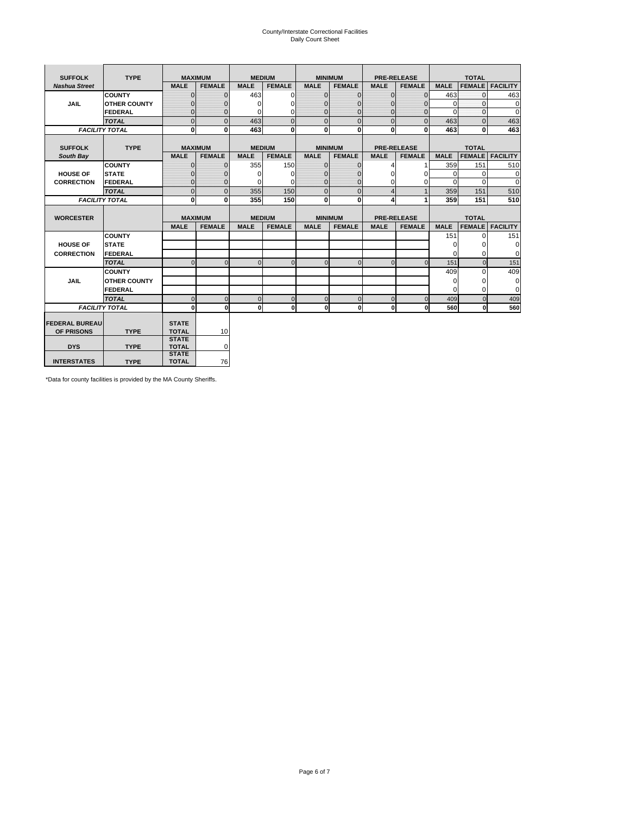# County/Interstate Correctional Facilities Daily Count Sheet

| <b>TYPE</b><br><b>SUFFOLK</b> |                       |                              | <b>MAXIMUM</b> |               | <b>MEDIUM</b>  |              | <b>MINIMUM</b> |                | <b>PRE-RELEASE</b> |             | <b>TOTAL</b>  |                 |
|-------------------------------|-----------------------|------------------------------|----------------|---------------|----------------|--------------|----------------|----------------|--------------------|-------------|---------------|-----------------|
| <b>Nashua Street</b>          |                       | <b>MALE</b>                  | <b>FEMALE</b>  | <b>MALE</b>   | <b>FEMALE</b>  | <b>MALE</b>  | <b>FEMALE</b>  | <b>MALE</b>    | <b>FEMALE</b>      | <b>MALE</b> | <b>FEMALE</b> | <b>FACILITY</b> |
|                               | <b>COUNTY</b>         | $\Omega$                     | $\mathbf{0}$   | 463           | $\Omega$       | $\mathbf{0}$ | $\Omega$       | $\Omega$       | $\Omega$           | 463         | $\Omega$      | 463             |
| <b>JAIL</b>                   | <b>OTHER COUNTY</b>   | $\Omega$                     | 0              | $\Omega$      | 0              | $\mathbf{0}$ | $\Omega$       | $\mathbf 0$    | $\Omega$           | $\Omega$    | $\Omega$      | $\mathbf 0$     |
|                               | <b>FEDERAL</b>        | $\Omega$                     | $\Omega$       | 0             | $\Omega$       | $\mathbf{0}$ | $\Omega$       | $\Omega$       | $\Omega$           | $\Omega$    | $\Omega$      | $\Omega$        |
|                               | <b>TOTAL</b>          | $\Omega$                     | $\mathbf 0$    | 463           | $\overline{0}$ | $\mathbf{0}$ | $\mathbf{0}$   | $\mathbf{0}$   | $\Omega$           | 463         | $\Omega$      | 463             |
|                               | <b>FACILITY TOTAL</b> | 0                            | 0              | 463           | $\bf{0}$       | <sub>0</sub> | 0              | $\mathbf{0}$   | $\Omega$           | 463         | 0             | 463             |
|                               |                       |                              |                |               |                |              |                |                |                    |             |               |                 |
| <b>SUFFOLK</b>                | <b>TYPE</b>           | <b>MAXIMUM</b>               |                | <b>MEDIUM</b> |                |              | <b>MINIMUM</b> |                | <b>PRE-RELEASE</b> |             | <b>TOTAL</b>  |                 |
| South Bay                     |                       | <b>MALE</b>                  | <b>FEMALE</b>  | <b>MALE</b>   | <b>FEMALE</b>  | <b>MALE</b>  | <b>FEMALE</b>  | <b>MALE</b>    | <b>FEMALE</b>      | <b>MALE</b> | <b>FEMALE</b> | <b>FACILITY</b> |
|                               | <b>COUNTY</b>         | $\Omega$                     | $\mathbf{0}$   | 355           | 150            | $\mathbf{0}$ | $\mathbf{0}$   | 4              |                    | 359         | 151           | 510             |
| <b>HOUSE OF</b>               | <b>STATE</b>          |                              | $\mathbf{0}$   | $\Omega$      | $\Omega$       | $\Omega$     | O              | $\Omega$       | $\Omega$           | $\Omega$    | $\Omega$      | $\Omega$        |
| <b>CORRECTION</b>             | <b>FEDERAL</b>        | $\Omega$                     | $\mathbf{0}$   | $\Omega$      | $\Omega$       | $\mathbf{0}$ | $\mathbf{0}$   | $\Omega$       | 0                  | $\Omega$    | $\Omega$      | $\Omega$        |
|                               | <b>TOTAL</b>          | $\Omega$                     | $\overline{0}$ | 355           | 150            | $\mathbf 0$  | $\mathbf{0}$   | $\overline{4}$ | $\mathbf{1}$       | 359         | 151           | 510             |
|                               | <b>FACILITY TOTAL</b> | 0                            | 0              | 355           | 150            | <sub>0</sub> | 0              | 4              | 1                  | 359         | 151           | 510             |
|                               |                       |                              |                |               |                |              |                |                |                    |             |               |                 |
| <b>WORCESTER</b>              |                       |                              | <b>MAXIMUM</b> |               | <b>MEDIUM</b>  |              | <b>MINIMUM</b> |                | <b>PRE-RELEASE</b> |             | <b>TOTAL</b>  |                 |
|                               |                       | <b>MALE</b>                  | <b>FEMALE</b>  | <b>MALE</b>   | <b>FEMALE</b>  | <b>MALE</b>  | <b>FEMALE</b>  | <b>MALE</b>    | <b>FEMALE</b>      | <b>MALE</b> | <b>FEMALE</b> | <b>FACILITY</b> |
|                               | <b>COUNTY</b>         |                              |                |               |                |              |                |                |                    | 151         | $\Omega$      | 151             |
| <b>HOUSE OF</b>               | <b>STATE</b>          |                              |                |               |                |              |                |                |                    | $\Omega$    | 0             | 0               |
| <b>CORRECTION</b>             | <b>FEDERAL</b>        |                              |                |               |                |              |                |                |                    | $\Omega$    | $\Omega$      | $\Omega$        |
|                               | <b>TOTAL</b>          | U                            | $\Omega$       | $\Omega$      | $\mathbf 0$    | $\Omega$     | $\Omega$       | $\Omega$       | $\Omega$           | 151         | $\Omega$      | 151             |
|                               | <b>COUNTY</b>         |                              |                |               |                |              |                |                |                    | 409         | $\Omega$      | 409             |
| <b>JAIL</b>                   | <b>OTHER COUNTY</b>   |                              |                |               |                |              |                |                |                    | 0           | 0             | 0               |
|                               | FEDERAL               |                              |                |               |                |              |                |                |                    | $\Omega$    | $\Omega$      | $\Omega$        |
|                               | <b>TOTAL</b>          | $\cap$                       | $\Omega$       | $\Omega$      | $\mathbf{0}$   | $\mathbf{0}$ | $\mathbf{0}$   | $\overline{0}$ | $\Omega$           | 409         | $\Omega$      | 409             |
|                               | <b>FACILITY TOTAL</b> | $\Omega$                     | $\mathbf 0$    | $\Omega$      | 0              | 0            | $\mathbf{0}$   | $\mathbf 0$    | 0                  | 560         | O             | 560             |
|                               |                       |                              |                |               |                |              |                |                |                    |             |               |                 |
| <b>FEDERAL BUREAU</b>         |                       | <b>STATE</b>                 |                |               |                |              |                |                |                    |             |               |                 |
| OF PRISONS                    | <b>TYPE</b>           | <b>TOTAL</b>                 | 10             |               |                |              |                |                |                    |             |               |                 |
| <b>DYS</b>                    | <b>TYPE</b>           | <b>STATE</b><br><b>TOTAL</b> | 0              |               |                |              |                |                |                    |             |               |                 |
|                               |                       | <b>STATE</b>                 |                |               |                |              |                |                |                    |             |               |                 |
| <b>INTERSTATES</b>            | <b>TYPE</b>           | <b>TOTAL</b>                 | 76             |               |                |              |                |                |                    |             |               |                 |

\*Data for county facilities is provided by the MA County Sheriffs.